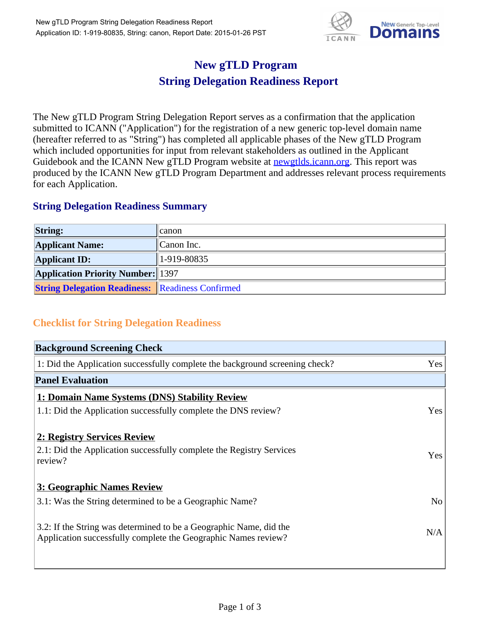

## **New gTLD Program String Delegation Readiness Report**

The New gTLD Program String Delegation Report serves as a confirmation that the application submitted to ICANN ("Application") for the registration of a new generic top-level domain name (hereafter referred to as "String") has completed all applicable phases of the New gTLD Program which included opportunities for input from relevant stakeholders as outlined in the Applicant Guidebook and the ICANN New gTLD Program website at newgtlds.icann.org. This report was produced by the ICANN New gTLD Program Department and addresses relevant process requirements for each Application.

## **String Delegation Readiness Summary**

| <b>String:</b>                                          | <b>canon</b> |
|---------------------------------------------------------|--------------|
| <b>Applicant Name:</b>                                  | Canon Inc.   |
| <b>Applicant ID:</b>                                    | 1-919-80835  |
| <b>Application Priority Number:</b> 1397                |              |
| <b>String Delegation Readiness: Readiness Confirmed</b> |              |

## **Checklist for String Delegation Readiness**

| <b>Background Screening Check</b>                                                                                                    |                |
|--------------------------------------------------------------------------------------------------------------------------------------|----------------|
| 1: Did the Application successfully complete the background screening check?                                                         | Yes            |
| <b>Panel Evaluation</b>                                                                                                              |                |
| 1: Domain Name Systems (DNS) Stability Review                                                                                        |                |
| 1.1: Did the Application successfully complete the DNS review?                                                                       | Yes            |
| 2: Registry Services Review                                                                                                          |                |
| 2.1: Did the Application successfully complete the Registry Services<br>review?                                                      | Yes            |
| <b>3: Geographic Names Review</b>                                                                                                    |                |
| 3.1: Was the String determined to be a Geographic Name?                                                                              | N <sub>o</sub> |
| 3.2: If the String was determined to be a Geographic Name, did the<br>Application successfully complete the Geographic Names review? | N/A            |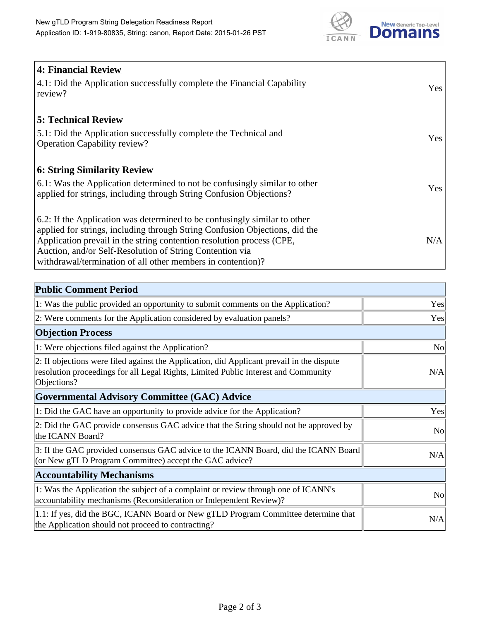

| <b>4: Financial Review</b><br>$\vert$ 4.1: Did the Application successfully complete the Financial Capability<br>review?                                                                                                                                                                                                                                     | <b>Yes</b> |
|--------------------------------------------------------------------------------------------------------------------------------------------------------------------------------------------------------------------------------------------------------------------------------------------------------------------------------------------------------------|------------|
| <b>5: Technical Review</b><br>5.1: Did the Application successfully complete the Technical and<br><b>Operation Capability review?</b>                                                                                                                                                                                                                        | <b>Yes</b> |
| <b>6: String Similarity Review</b><br>$\vert$ 6.1: Was the Application determined to not be confusingly similar to other<br>applied for strings, including through String Confusion Objections?                                                                                                                                                              | Yes        |
| 6.2: If the Application was determined to be confusingly similar to other<br>applied for strings, including through String Confusion Objections, did the<br>Application prevail in the string contention resolution process (CPE,<br>Auction, and/or Self-Resolution of String Contention via<br>withdrawal/termination of all other members in contention)? | N/A        |

| <b>Public Comment Period</b>                                                                                                                                                                   |                |
|------------------------------------------------------------------------------------------------------------------------------------------------------------------------------------------------|----------------|
| 1: Was the public provided an opportunity to submit comments on the Application?                                                                                                               | Yes            |
| 2: Were comments for the Application considered by evaluation panels?                                                                                                                          | Yes            |
| <b>Objection Process</b>                                                                                                                                                                       |                |
| 1: Were objections filed against the Application?                                                                                                                                              | N <sub>o</sub> |
| 2: If objections were filed against the Application, did Applicant prevail in the dispute<br>resolution proceedings for all Legal Rights, Limited Public Interest and Community<br>Objections? | N/A            |
| Governmental Advisory Committee (GAC) Advice                                                                                                                                                   |                |
| 1: Did the GAC have an opportunity to provide advice for the Application?                                                                                                                      | Yes            |
| 2: Did the GAC provide consensus GAC advice that the String should not be approved by<br>the ICANN Board?                                                                                      | <b>No</b>      |
| 3: If the GAC provided consensus GAC advice to the ICANN Board, did the ICANN Board<br>(or New gTLD Program Committee) accept the GAC advice?                                                  | N/A            |
| <b>Accountability Mechanisms</b>                                                                                                                                                               |                |
| 1: Was the Application the subject of a complaint or review through one of ICANN's<br>accountability mechanisms (Reconsideration or Independent Review)?                                       | <b>No</b>      |
| 1.1: If yes, did the BGC, ICANN Board or New gTLD Program Committee determine that<br>the Application should not proceed to contracting?                                                       | N/A            |